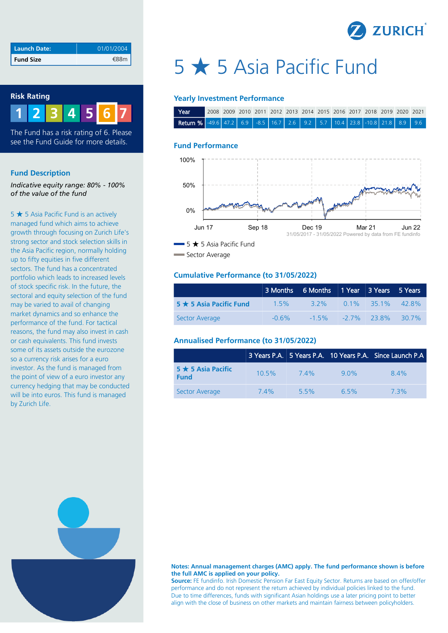

| <b>Launch Date:</b> | 01/01/2004 |
|---------------------|------------|
| <b>Fund Size</b>    | €88m       |

### **Risk Rating**



The Fund has a risk rating of 6. Please see the Fund Guide for more details.

#### **Fund Description**

*Indicative equity range: 80% - 100% of the value of the fund*

5 ★ 5 Asia Pacific Fund is an actively managed fund which aims to achieve growth through focusing on Zurich Life's strong sector and stock selection skills in the Asia Pacific region, normally holding up to fifty equities in five different sectors. The fund has a concentrated portfolio which leads to increased levels of stock specific risk. In the future, the sectoral and equity selection of the fund may be varied to avail of changing market dynamics and so enhance the performance of the fund. For tactical reasons, the fund may also invest in cash or cash equivalents. This fund invests some of its assets outside the eurozone so a currency risk arises for a euro investor. As the fund is managed from the point of view of a euro investor any currency hedging that may be conducted will be into euros. This fund is managed by Zurich Life.

# 5 ★ 5 Asia Pacific Fund

#### **Yearly Investment Performance**

| Near                                                                                                                                        | 2008 2009 2010 2011 2012 2013 2014 2015 2016 2017 2018 2019 2020 2021 |  |  |  |  |  |  |  |
|---------------------------------------------------------------------------------------------------------------------------------------------|-----------------------------------------------------------------------|--|--|--|--|--|--|--|
| <b>Return %</b> $\begin{bmatrix} -49.6 & 47.2 & 6.9 & -8.5 & 16.7 & 2.6 & 9.2 & 5.7 & 10.4 & 23.8 & -10.8 & 21.8 & 8.9 & 9.6 \end{bmatrix}$ |                                                                       |  |  |  |  |  |  |  |

#### **Fund Performance**



Sector Average

#### **Cumulative Performance (to 31/05/2022)**

|                               |          | 3 Months 6 Months 1 Year 3 Years 5 Years |                            |           |
|-------------------------------|----------|------------------------------------------|----------------------------|-----------|
| $5 \star 5$ Asia Pacific Fund | 15%      | 3 2%                                     | $0.1\%$ 35.1% 42.8%        |           |
| Sector Average                | $-0.6\%$ |                                          | $-1.5\%$ $-2.7\%$ $23.8\%$ | $-30.7\%$ |

#### **Annualised Performance (to 31/05/2022)**

|                                         |          |      |         | 3 Years P.A. 5 Years P.A. 10 Years P.A. Since Launch P.A |
|-----------------------------------------|----------|------|---------|----------------------------------------------------------|
| $5 \star 5$ Asia Pacific<br><b>Fund</b> | $10.5\%$ | 74%  | 90%     | 84%                                                      |
| Sector Average                          | 74%      | 5.5% | $6.5\%$ | 73%                                                      |



**Source:** FE fundinfo. Irish Domestic Pension Far East Equity Sector. Returns are based on offer/offer performance and do not represent the return achieved by individual policies linked to the fund. Due to time differences, funds with significant Asian holdings use a later pricing point to better align with the close of business on other markets and maintain fairness between policyholders.